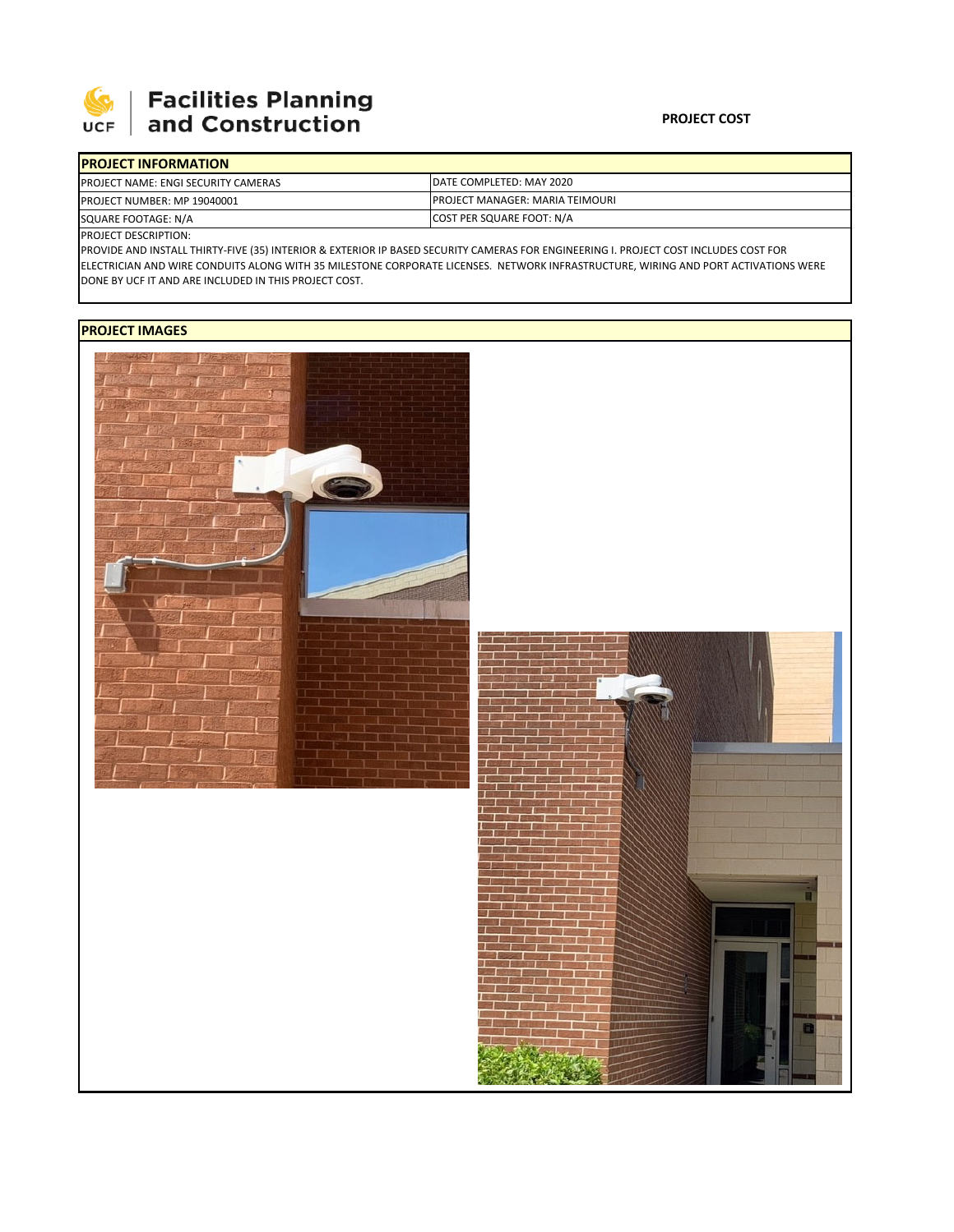

## Facilities Planning<br>and Construction

| <b>IPROJECT INFORMATION</b>                |                                         |
|--------------------------------------------|-----------------------------------------|
| <b>PROJECT NAME: ENGI SECURITY CAMERAS</b> | DATE COMPLETED: MAY 2020                |
| <b>PROJECT NUMBER: MP 19040001</b>         | <b>IPROJECT MANAGER: MARIA TEIMOURI</b> |
| SQUARE FOOTAGE: N/A                        | COST PER SQUARE FOOT: N/A               |

PROJECT DESCRIPTION:

PROVIDE AND INSTALL THIRTY‐FIVE (35) INTERIOR & EXTERIOR IP BASED SECURITY CAMERAS FOR ENGINEERING I. PROJECT COST INCLUDES COST FOR ELECTRICIAN AND WIRE CONDUITS ALONG WITH 35 MILESTONE CORPORATE LICENSES. NETWORK INFRASTRUCTURE, WIRING AND PORT ACTIVATIONS WERE DONE BY UCF IT AND ARE INCLUDED IN THIS PROJECT COST.

## **PROJECT IMAGES**